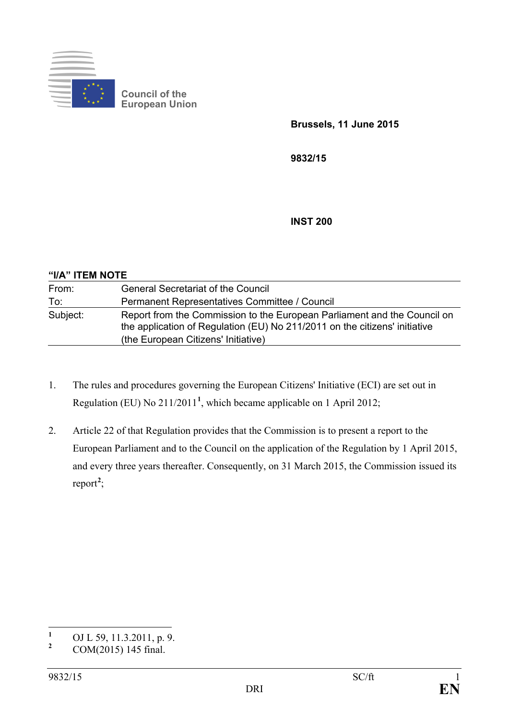

**Council of the European Union**

**Brussels, 11 June 2015**

**9832/15**

**INST 200**

| "I/A" ITEM NOTE |                                                                                                                                                                                               |  |  |  |
|-----------------|-----------------------------------------------------------------------------------------------------------------------------------------------------------------------------------------------|--|--|--|
| From:           | <b>General Secretariat of the Council</b>                                                                                                                                                     |  |  |  |
| To:             | Permanent Representatives Committee / Council                                                                                                                                                 |  |  |  |
| Subject:        | Report from the Commission to the European Parliament and the Council on<br>the application of Regulation (EU) No 211/2011 on the citizens' initiative<br>(the European Citizens' Initiative) |  |  |  |

- 1. The rules and procedures governing the European Citizens' Initiative (ECI) are set out in Regulation (EU) No 211/2011**[1](#page-0-0)** , which became applicable on 1 April 2012;
- 2. Article 22 of that Regulation provides that the Commission is to present a report to the European Parliament and to the Council on the application of the Regulation by 1 April 2015, and every three years thereafter. Consequently, on 31 March 2015, the Commission issued its report<sup>[2](#page-0-1)</sup>;

<span id="page-0-0"></span><sup>&</sup>lt;sup>1</sup> OJ L 59, 11.3.2011, p. 9.<br>
COM(2015) 145 final

<span id="page-0-1"></span>**<sup>2</sup>** COM(2015) 145 final.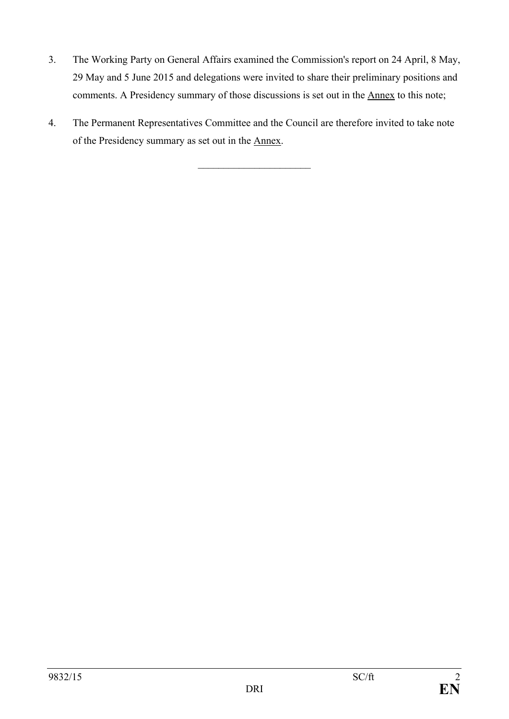- 3. The Working Party on General Affairs examined the Commission's report on 24 April, 8 May, 29 May and 5 June 2015 and delegations were invited to share their preliminary positions and comments. A Presidency summary of those discussions is set out in the Annex to this note;
- 4. The Permanent Representatives Committee and the Council are therefore invited to take note of the Presidency summary as set out in the Annex.

 $\overline{\phantom{a}}$  , which is a set of the set of the set of the set of the set of the set of the set of the set of the set of the set of the set of the set of the set of the set of the set of the set of the set of the set of th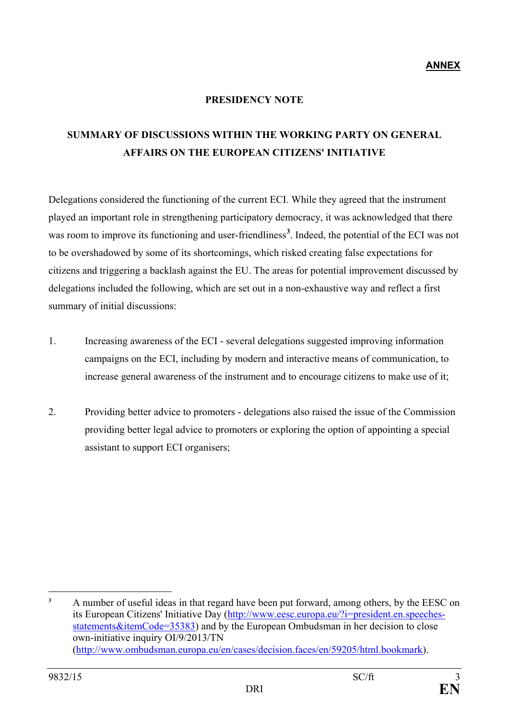**ANNEX** 

## **PRESIDENCY NOTE**

## **SUMMARY OF DISCUSSIONS WITHIN THE WORKING PARTY ON GENERAL AFFAIRS ON THE EUROPEAN CITIZENS' INITIATIVE**

Delegations considered the functioning of the current ECI. While they agreed that the instrument played an important role in strengthening participatory democracy, it was acknowledged that there was room to improve its functioning and user-friendliness<sup>[3](#page-2-0)</sup>. Indeed, the potential of the ECI was not to be overshadowed by some of its shortcomings, which risked creating false expectations for citizens and triggering a backlash against the EU. The areas for potential improvement discussed by delegations included the following, which are set out in a non-exhaustive way and reflect a first summary of initial discussions:

- 1. Increasing awareness of the ECI several delegations suggested improving information campaigns on the ECI, including by modern and interactive means of communication, to increase general awareness of the instrument and to encourage citizens to make use of it;
- 2. Providing better advice to promoters delegations also raised the issue of the Commission providing better legal advice to promoters or exploring the option of appointing a special assistant to support ECI organisers;

<span id="page-2-0"></span> $\overline{\mathbf{3}}$ **<sup>3</sup>** A number of useful ideas in that regard have been put forward, among others, by the EESC on its European Citizens' Initiative Day [\(http://www.eesc.europa.eu/?i=president.en.speeches](http://www.eesc.europa.eu/?i=president.en.speeches-statements&itemCode=35383)statements & itemCode=35383) and by the European Ombudsman in her decision to close own-initiative inquiry OI/9/2013/TN [\(http://www.ombudsman.europa.eu/en/cases/decision.faces/en/59205/html.bookmark\)](http://www.ombudsman.europa.eu/en/cases/decision.faces/en/59205/html.bookmark).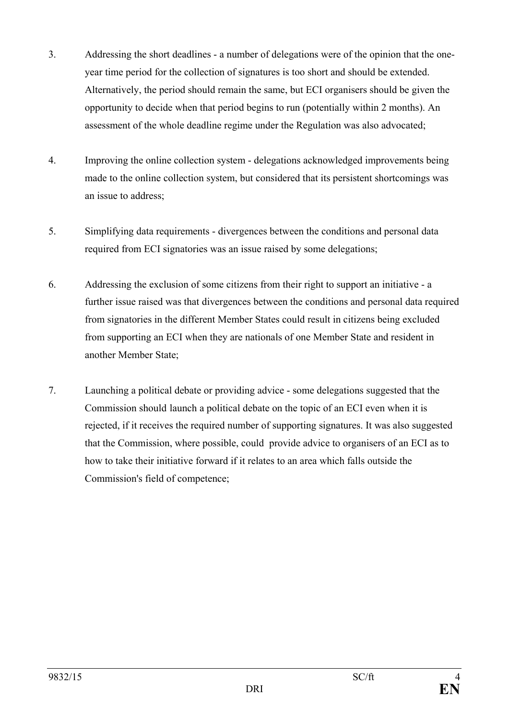- 3. Addressing the short deadlines a number of delegations were of the opinion that the oneyear time period for the collection of signatures is too short and should be extended. Alternatively, the period should remain the same, but ECI organisers should be given the opportunity to decide when that period begins to run (potentially within 2 months). An assessment of the whole deadline regime under the Regulation was also advocated;
- 4. Improving the online collection system delegations acknowledged improvements being made to the online collection system, but considered that its persistent shortcomings was an issue to address;
- 5. Simplifying data requirements divergences between the conditions and personal data required from ECI signatories was an issue raised by some delegations;
- 6. Addressing the exclusion of some citizens from their right to support an initiative a further issue raised was that divergences between the conditions and personal data required from signatories in the different Member States could result in citizens being excluded from supporting an ECI when they are nationals of one Member State and resident in another Member State;
- 7. Launching a political debate or providing advice some delegations suggested that the Commission should launch a political debate on the topic of an ECI even when it is rejected, if it receives the required number of supporting signatures. It was also suggested that the Commission, where possible, could provide advice to organisers of an ECI as to how to take their initiative forward if it relates to an area which falls outside the Commission's field of competence;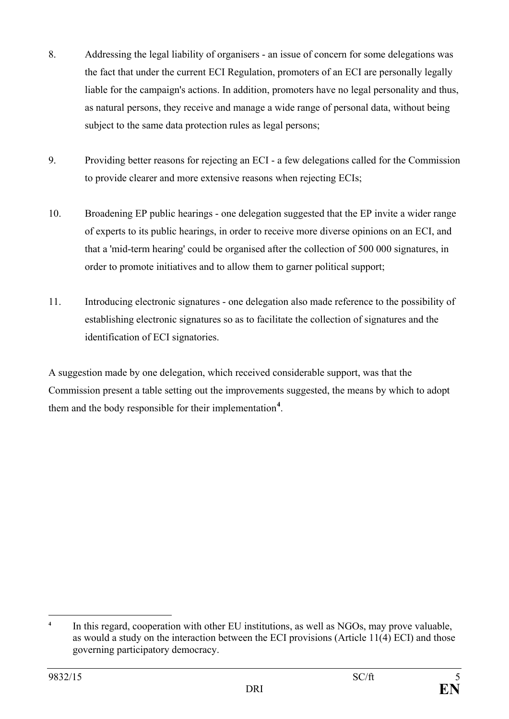- 8. Addressing the legal liability of organisers an issue of concern for some delegations was the fact that under the current ECI Regulation, promoters of an ECI are personally legally liable for the campaign's actions. In addition, promoters have no legal personality and thus, as natural persons, they receive and manage a wide range of personal data, without being subject to the same data protection rules as legal persons;
- 9. Providing better reasons for rejecting an ECI a few delegations called for the Commission to provide clearer and more extensive reasons when rejecting ECIs;
- 10. Broadening EP public hearings one delegation suggested that the EP invite a wider range of experts to its public hearings, in order to receive more diverse opinions on an ECI, and that a 'mid-term hearing' could be organised after the collection of 500 000 signatures, in order to promote initiatives and to allow them to garner political support;
- 11. Introducing electronic signatures one delegation also made reference to the possibility of establishing electronic signatures so as to facilitate the collection of signatures and the identification of ECI signatories.

A suggestion made by one delegation, which received considerable support, was that the Commission present a table setting out the improvements suggested, the means by which to adopt them and the body responsible for their implementation**[4](#page-4-0)** .

<span id="page-4-0"></span> $\overline{4}$ **<sup>4</sup>** In this regard, cooperation with other EU institutions, as well as NGOs, may prove valuable, as would a study on the interaction between the ECI provisions (Article 11(4) ECI) and those governing participatory democracy.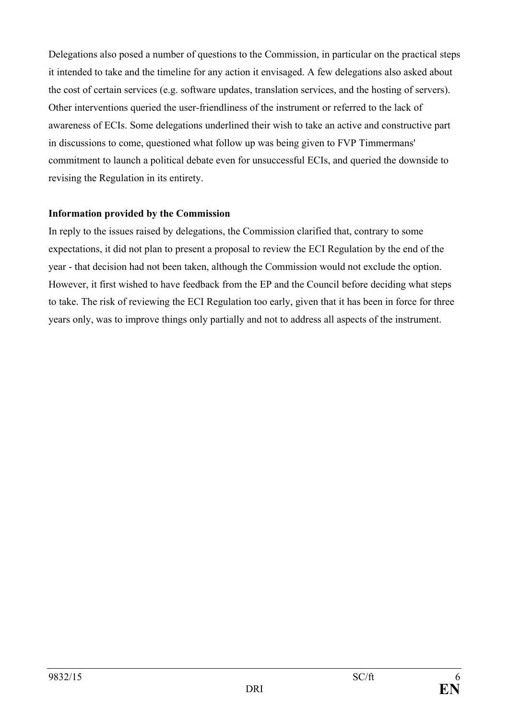Delegations also posed a number of questions to the Commission, in particular on the practical steps it intended to take and the timeline for any action it envisaged. A few delegations also asked about the cost of certain services (e.g. software updates, translation services, and the hosting of servers). Other interventions queried the user-friendliness of the instrument or referred to the lack of awareness of ECIs. Some delegations underlined their wish to take an active and constructive part in discussions to come, questioned what follow up was being given to FVP Timmermans' commitment to launch a political debate even for unsuccessful ECIs, and queried the downside to revising the Regulation in its entirety.

## **Information provided by the Commission**

In reply to the issues raised by delegations, the Commission clarified that, contrary to some expectations, it did not plan to present a proposal to review the ECI Regulation by the end of the year - that decision had not been taken, although the Commission would not exclude the option. However, it first wished to have feedback from the EP and the Council before deciding what steps to take. The risk of reviewing the ECI Regulation too early, given that it has been in force for three years only, was to improve things only partially and not to address all aspects of the instrument.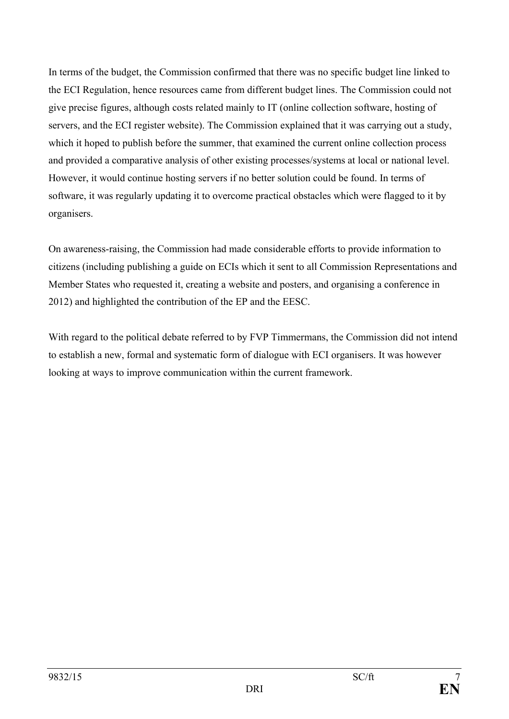In terms of the budget, the Commission confirmed that there was no specific budget line linked to the ECI Regulation, hence resources came from different budget lines. The Commission could not give precise figures, although costs related mainly to IT (online collection software, hosting of servers, and the ECI register website). The Commission explained that it was carrying out a study, which it hoped to publish before the summer, that examined the current online collection process and provided a comparative analysis of other existing processes/systems at local or national level. However, it would continue hosting servers if no better solution could be found. In terms of software, it was regularly updating it to overcome practical obstacles which were flagged to it by organisers.

On awareness-raising, the Commission had made considerable efforts to provide information to citizens (including publishing a guide on ECIs which it sent to all Commission Representations and Member States who requested it, creating a website and posters, and organising a conference in 2012) and highlighted the contribution of the EP and the EESC.

With regard to the political debate referred to by FVP Timmermans, the Commission did not intend to establish a new, formal and systematic form of dialogue with ECI organisers. It was however looking at ways to improve communication within the current framework.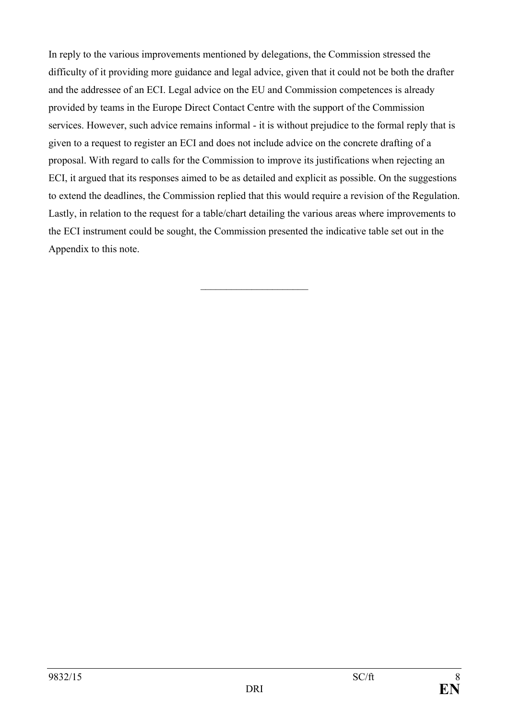In reply to the various improvements mentioned by delegations, the Commission stressed the difficulty of it providing more guidance and legal advice, given that it could not be both the drafter and the addressee of an ECI. Legal advice on the EU and Commission competences is already provided by teams in the Europe Direct Contact Centre with the support of the Commission services. However, such advice remains informal - it is without prejudice to the formal reply that is given to a request to register an ECI and does not include advice on the concrete drafting of a proposal. With regard to calls for the Commission to improve its justifications when rejecting an ECI, it argued that its responses aimed to be as detailed and explicit as possible. On the suggestions to extend the deadlines, the Commission replied that this would require a revision of the Regulation. Lastly, in relation to the request for a table/chart detailing the various areas where improvements to the ECI instrument could be sought, the Commission presented the indicative table set out in the Appendix to this note.

 $\overline{\phantom{a}}$  , and the set of the set of the set of the set of the set of the set of the set of the set of the set of the set of the set of the set of the set of the set of the set of the set of the set of the set of the s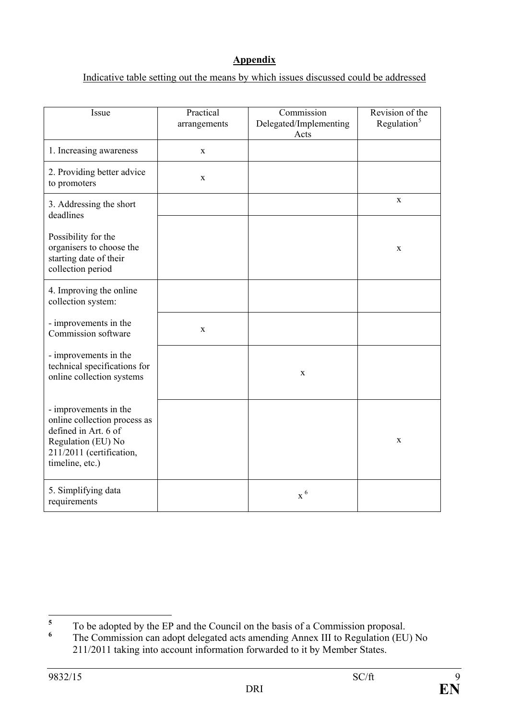## **Appendix**

Indicative table setting out the means by which issues discussed could be addressed

| Issue                                                                                                                                              | Practical<br>arrangements | Commission<br>Delegated/Implementing<br>Acts | Revision of the<br>Regulation $5$ |
|----------------------------------------------------------------------------------------------------------------------------------------------------|---------------------------|----------------------------------------------|-----------------------------------|
| 1. Increasing awareness                                                                                                                            | $\mathbf X$               |                                              |                                   |
| 2. Providing better advice<br>to promoters                                                                                                         | $\mathbf X$               |                                              |                                   |
| 3. Addressing the short<br>deadlines                                                                                                               |                           |                                              | $\mathbf X$                       |
| Possibility for the<br>organisers to choose the<br>starting date of their<br>collection period                                                     |                           |                                              | $\mathbf X$                       |
| 4. Improving the online<br>collection system:                                                                                                      |                           |                                              |                                   |
| - improvements in the<br>Commission software                                                                                                       | $\mathbf X$               |                                              |                                   |
| - improvements in the<br>technical specifications for<br>online collection systems                                                                 |                           | X                                            |                                   |
| - improvements in the<br>online collection process as<br>defined in Art. 6 of<br>Regulation (EU) No<br>211/2011 (certification,<br>timeline, etc.) |                           |                                              | $\mathbf X$                       |
| 5. Simplifying data<br>requirements                                                                                                                |                           | $x^6$                                        |                                   |

<span id="page-8-0"></span><sup>&</sup>lt;sup>5</sup> To be adopted by the EP and the Council on the basis of a Commission proposal.

<span id="page-8-1"></span>The Commission can adopt delegated acts amending Annex III to Regulation (EU) No 211/2011 taking into account information forwarded to it by Member States.